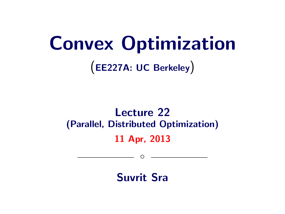# Convex Optimization

(EE227A: UC Berkeley)

## Lecture 22 (Parallel, Distributed Optimization) 11 Apr, 2013

Suvrit Sra

 $\circ$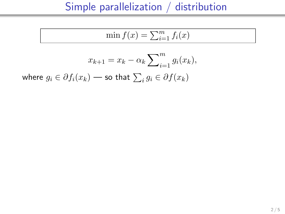$$
\min f(x) = \sum_{i=1}^{m} f_i(x)
$$

$$
x_{k+1} = x_k - \alpha_k \sum_{i=1}^m g_i(x_k),
$$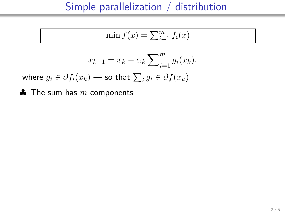$$
\min f(x) = \sum_{i=1}^{m} f_i(x)
$$

$$
x_{k+1} = x_k - \alpha_k \sum_{i=1}^m g_i(x_k),
$$

where  $g_i \in \partial f_i(x_k)$  — so that  $\sum_i g_i \in \partial f(x_k)$ 

 $\clubsuit$  The sum has m components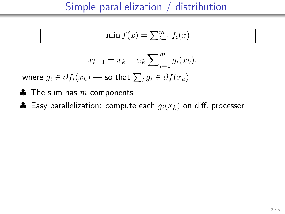$$
\min f(x) = \sum_{i=1}^{m} f_i(x)
$$

$$
x_{k+1} = x_k - \alpha_k \sum_{i=1}^m g_i(x_k),
$$

- $\clubsuit$  The sum has m components
- ♣ Easy parallelization: compute each  $g_i(x_k)$  on diff. processor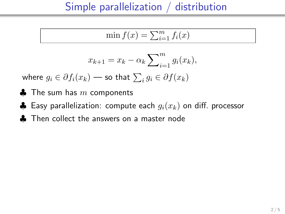$$
\min f(x) = \sum_{i=1}^{m} f_i(x)
$$

$$
x_{k+1} = x_k - \alpha_k \sum_{i=1}^m g_i(x_k),
$$

- $\clubsuit$  The sum has  $m$  components
- ♣ Easy parallelization: compute each  $g_i(x_k)$  on diff. processor
- **A** Then collect the answers on a master node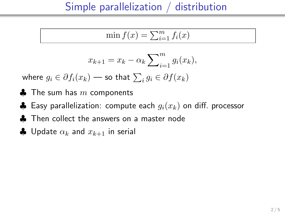$$
\min f(x) = \sum_{i=1}^{m} f_i(x)
$$

$$
x_{k+1} = x_k - \alpha_k \sum_{i=1}^m g_i(x_k),
$$

- $\clubsuit$  The sum has  $m$  components
- ♣ Easy parallelization: compute each  $g_i(x_k)$  on diff. processor
- ♣ Then collect the answers on a master node
- $\clubsuit$  Update  $\alpha_k$  and  $x_{k+1}$  in serial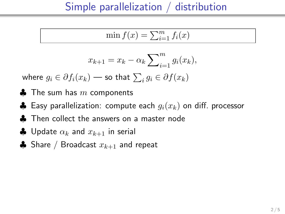$$
\min f(x) = \sum_{i=1}^{m} f_i(x)
$$

$$
x_{k+1} = x_k - \alpha_k \sum_{i=1}^m g_i(x_k),
$$

- $\clubsuit$  The sum has m components
- ♣ Easy parallelization: compute each  $g_i(x_k)$  on diff. processor
- ♣ Then collect the answers on a master node
- $\clubsuit$  Update  $\alpha_k$  and  $x_{k+1}$  in serial
- **♦** Share / Broadcast  $x_{k+1}$  and repeat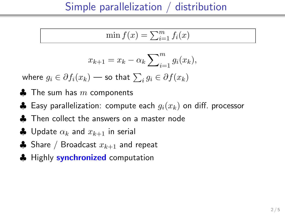$$
\min f(x) = \sum_{i=1}^{m} f_i(x)
$$

$$
x_{k+1} = x_k - \alpha_k \sum_{i=1}^m g_i(x_k),
$$

- $\clubsuit$  The sum has  $m$  components
- ♣ Easy parallelization: compute each  $g_i(x_k)$  on diff. processor
- ♣ Then collect the answers on a master node
- $\clubsuit$  Update  $\alpha_k$  and  $x_{k+1}$  in serial
- ♣ Share / Broadcast  $x_{k+1}$  and repeat
- **A** Highly **synchronized** computation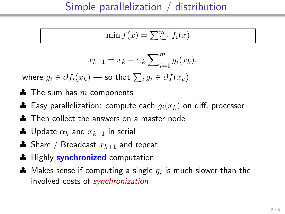$$
\min f(x) = \sum_{i=1}^{m} f_i(x)
$$

$$
x_{k+1} = x_k - \alpha_k \sum_{i=1}^m g_i(x_k),
$$

- $\clubsuit$  The sum has  $m$  components
- ♣ Easy parallelization: compute each  $g_i(x_k)$  on diff. processor
- ♣ Then collect the answers on a master node
- $\clubsuit$  Update  $\alpha_k$  and  $x_{k+1}$  in serial
- ♣ Share / Broadcast  $x_{k+1}$  and repeat
- **A** Highly **synchronized** computation
- $\clubsuit$  Makes sense if computing a single  $g_i$  is much slower than the involved costs of synchronization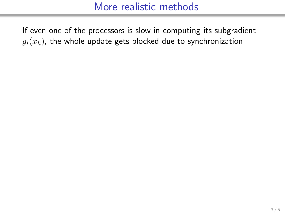If even one of the processors is slow in computing its subgradient  $g_i(x_k)$ , the whole update gets blocked due to synchronization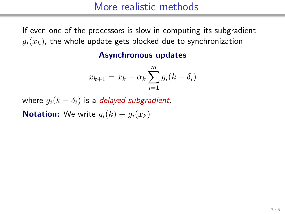If even one of the processors is slow in computing its subgradient  $g_i(x_k)$ , the whole update gets blocked due to synchronization

#### Asynchronous updates

$$
x_{k+1} = x_k - \alpha_k \sum_{i=1}^m g_i(k - \delta_i)
$$

where  $q_i(k - \delta_i)$  is a delayed subgradient. **Notation:** We write  $q_i(k) \equiv q_i(x_k)$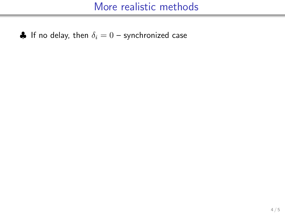$\clubsuit$  If no delay, then  $\delta_i = 0$  – synchronized case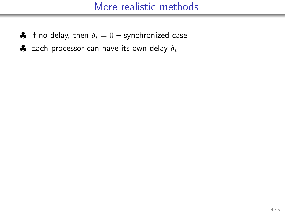- $\bullet$  If no delay, then  $\delta_i = 0$  synchronized case
- $\clubsuit$  Each processor can have its own delay  $\delta_i$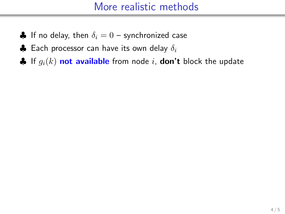- $\bullet$  If no delay, then  $\delta_i = 0$  synchronized case
- $\clubsuit$  Each processor can have its own delay  $\delta_i$
- $\clubsuit$  If  $g_i(k)$  not available from node i, don't block the update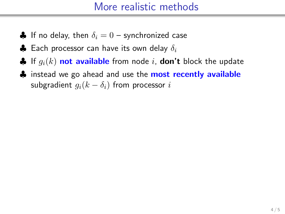- $\bullet$  If no delay, then  $\delta_i = 0$  synchronized case
- $\clubsuit$  Each processor can have its own delay  $\delta_i$
- $\clubsuit$  If  $g_i(k)$  not available from node i, don't block the update
- ♦ instead we go ahead and use the **most recently available** subgradient  $g_i(k - \delta_i)$  from processor i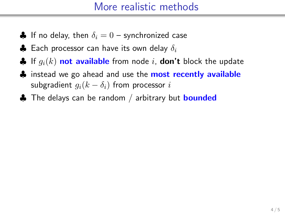- $\bullet$  If no delay, then  $\delta_i = 0$  synchronized case
- $\clubsuit$  Each processor can have its own delay  $\delta_i$
- $\clubsuit$  If  $q_i(k)$  not available from node i, don't block the update
- **♦** instead we go ahead and use the **most recently available** subgradient  $g_i(k - \delta_i)$  from processor i
- $\clubsuit$  The delays can be random / arbitrary but  $\bm{\text{bounded}}$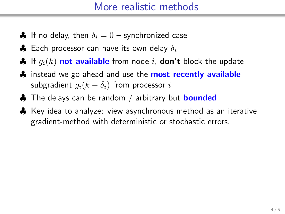- $\bullet$  If no delay, then  $\delta_i = 0$  synchronized case
- $\clubsuit$  Each processor can have its own delay  $\delta_i$
- $\clubsuit$  If  $q_i(k)$  not available from node i, don't block the update
- **♦** instead we go ahead and use the **most recently available** subgradient  $q_i(k - \delta_i)$  from processor i
- ♣ The delays can be random / arbitrary but **bounded**
- ♣ Key idea to analyze: view asynchronous method as an iterative gradient-method with deterministic or stochastic errors.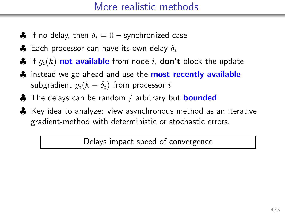- $\bullet$  If no delay, then  $\delta_i = 0$  synchronized case
- $\clubsuit$  Each processor can have its own delay  $\delta_i$
- $\clubsuit$  If  $q_i(k)$  not available from node i, don't block the update
- **♦** instead we go ahead and use the **most recently available** subgradient  $q_i(k - \delta_i)$  from processor i
- ♣ The delays can be random / arbitrary but **bounded**
- ♣ Key idea to analyze: view asynchronous method as an iterative gradient-method with deterministic or stochastic errors.

Delays impact speed of convergence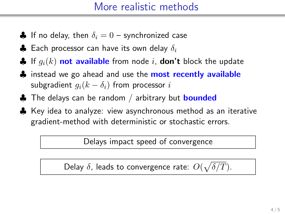- $\bullet$  If no delay, then  $\delta_i = 0$  synchronized case
- $\clubsuit$  Each processor can have its own delay  $\delta_i$
- $\clubsuit$  If  $q_i(k)$  not available from node i, don't block the update
- **♣** instead we go ahead and use the **most recently available** subgradient  $q_i(k - \delta_i)$  from processor i
- ♣ The delays can be random / arbitrary but **bounded**
- ♣ Key idea to analyze: view asynchronous method as an iterative gradient-method with deterministic or stochastic errors.

Delays impact speed of convergence

Delay  $\delta$ , leads to convergence rate:  $O(\sqrt{\delta/T})$ .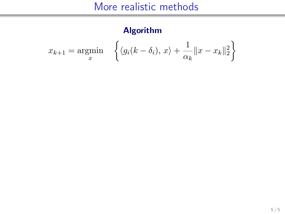#### Algorithm

$$
x_{k+1} = \underset{x}{\text{argmin}} \quad \left\{ \langle g_i(k - \delta_i), x \rangle + \frac{1}{\alpha_k} ||x - x_k||_2^2 \right\}
$$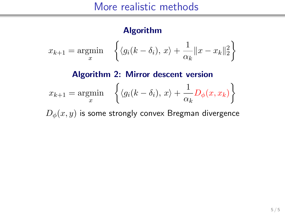#### Algorithm

$$
x_{k+1} = \underset{x}{\text{argmin}} \quad \left\{ \langle g_i(k - \delta_i), x \rangle + \frac{1}{\alpha_k} ||x - x_k||_2^2 \right\}
$$

#### Algorithm 2: Mirror descent version  $x_{k+1} = \operatornamewithlimits{argmin}_x$  $\left\{ \langle g_i(k-\delta_i), x \rangle + \frac{1}{\alpha} \right\}$  $\frac{1}{\alpha_k} D_\phi(x, x_k) \bigg\}$

 $D_{\phi}(x, y)$  is some strongly convex Bregman divergence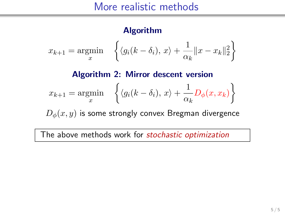#### Algorithm

$$
x_{k+1} = \underset{x}{\text{argmin}} \quad \left\{ \langle g_i(k - \delta_i), x \rangle + \frac{1}{\alpha_k} ||x - x_k||_2^2 \right\}
$$

#### Algorithm 2: Mirror descent version  $x_{k+1} = \operatornamewithlimits{argmin}_x$  $\left\{ \langle g_i(k-\delta_i), x \rangle + \frac{1}{\alpha} \right\}$  $\frac{1}{\alpha_k} D_\phi(x, x_k) \bigg\}$

 $D_{\phi}(x, y)$  is some strongly convex Bregman divergence

The above methods work for stochastic optimization